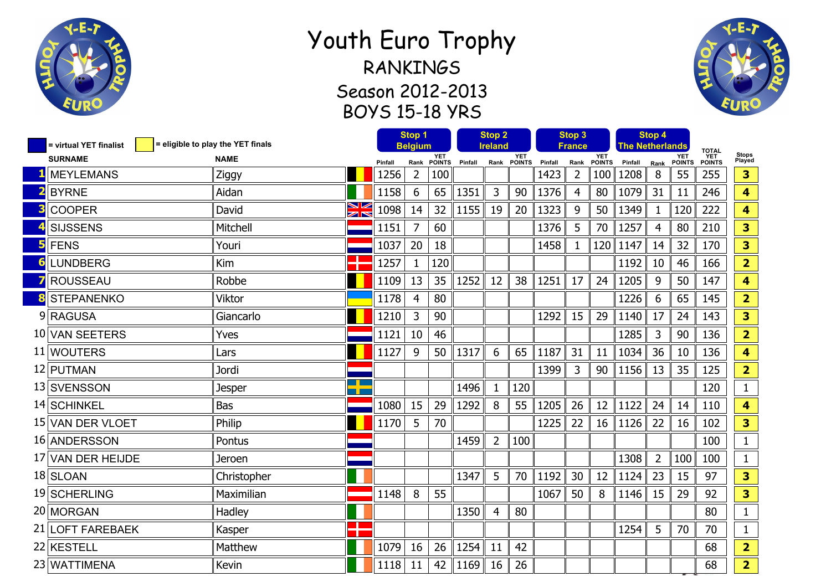

## Youth Euro Trophy RANKINGS Season 2012-2013 BOYS 15-18 YRS



| = eligible to play the YET finals<br>= virtual YET finalist |               | Stop 1<br><b>Belgium</b> |         | <b>Stop 2</b><br>Ireland |                    |         | Stop 3<br>France |                    |         | Stop 4<br>The Netherlands |               |         |                |                             |                                       |                         |
|-------------------------------------------------------------|---------------|--------------------------|---------|--------------------------|--------------------|---------|------------------|--------------------|---------|---------------------------|---------------|---------|----------------|-----------------------------|---------------------------------------|-------------------------|
| <b>SURNAME</b>                                              | <b>NAME</b>   |                          | Pinfall |                          | YET<br>Rank POINTS | Pinfall |                  | YET<br>Rank POINTS | Pinfall | Rank                      | YET<br>POINTS | Pinfall | Rank           | <b>YET</b><br><b>POINTS</b> | <b>TOTAL</b><br><b>YET<br/>POINTS</b> | Stops<br>Played         |
| <b>MEYLEMANS</b>                                            | Ziggy         |                          | 1256    | $\overline{2}$           | 100                |         |                  |                    | 1423    | $\overline{2}$            | 100           | 1208    | 8              | 55                          | 255                                   | 3                       |
| <b>BYRNE</b>                                                | Aidan         |                          | 1158    | 6                        | 65                 | 1351    | 3                | 90                 | 1376    | 4                         | 80            | 1079    | 31             | 11                          | 246                                   | 4                       |
| <b>COOPER</b>                                               | David         | ≫<br>R                   | 1098    | 14                       | 32                 | 1155    | 19               | 20                 | 1323    | 9                         | 50            | 1349    | $\mathbf{1}$   | 120                         | 222                                   | $\overline{\mathbf{4}}$ |
| <b>SIJSSENS</b>                                             | Mitchell      |                          | 1151    | $\overline{7}$           | 60                 |         |                  |                    | 1376    | 5                         | 70            | 1257    | $\overline{4}$ | 80                          | 210                                   | 3                       |
| <b>FENS</b>                                                 | Youri         |                          | 1037    | 20                       | 18                 |         |                  |                    | 1458    | $\mathbf{1}$              | 120           | 1147    | 14             | 32                          | 170                                   | 3                       |
| <b>LUNDBERG</b>                                             | Kim           |                          | 1257    | $\mathbf{1}$             | 120                |         |                  |                    |         |                           |               | 1192    | 10             | 46                          | 166                                   | $\overline{2}$          |
| <b>ROUSSEAU</b>                                             | Robbe         |                          | 1109    | 13                       | 35                 | 1252    | 12               | 38                 | 1251    | 17                        | 24            | 1205    | 9              | 50                          | 147                                   | 4                       |
| <b>STEPANENKO</b>                                           | Viktor        |                          | 1178    | 4                        | 80                 |         |                  |                    |         |                           |               | 1226    | 6              | 65                          | 145                                   | $\overline{2}$          |
| 9 RAGUSA                                                    | Giancarlo     |                          | 1210    | 3                        | 90                 |         |                  |                    | 1292    | 15                        | 29            | 1140    | 17             | 24                          | 143                                   | $\overline{\mathbf{3}}$ |
| 10 VAN SEETERS                                              | Yves          |                          | 1121    | 10                       | 46                 |         |                  |                    |         |                           |               | 1285    | 3              | 90                          | 136                                   | $\overline{2}$          |
| 11 WOUTERS                                                  | Lars          |                          | 1127    | 9                        | 50                 | 1317    | 6                | 65                 | 1187    | 31                        | 11            | 1034    | 36             | 10                          | 136                                   | $\overline{\mathbf{4}}$ |
| 12 PUTMAN                                                   | Jordi         |                          |         |                          |                    |         |                  |                    | 1399    | 3                         | 90            | 1156    | 13             | 35                          | 125                                   | $\overline{2}$          |
| 13 SVENSSON                                                 | <b>Jesper</b> |                          |         |                          |                    | 1496    | $\mathbf{1}$     | 120                |         |                           |               |         |                |                             | 120                                   | $\mathbf{1}$            |
| 14 SCHINKEL                                                 | <b>Bas</b>    |                          | 1080    | 15                       | 29                 | 1292    | 8                | 55                 | 1205    | 26                        | 12            | 1122    | 24             | 14                          | 110                                   | $\overline{\mathbf{4}}$ |
| 15 VAN DER VLOET                                            | Philip        |                          | 1170    | 5                        | 70                 |         |                  |                    | 1225    | 22                        | 16            | 1126    | 22             | 16                          | 102                                   | 3                       |
| 16 ANDERSSON                                                | Pontus        |                          |         |                          |                    | 1459    | $\overline{2}$   | 100                |         |                           |               |         |                |                             | 100                                   | $\mathbf{1}$            |
| 17 VAN DER HEIJDE                                           | Jeroen        |                          |         |                          |                    |         |                  |                    |         |                           |               | 1308    | $\overline{2}$ | 100                         | 100                                   | $\mathbf 1$             |
| 18 SLOAN                                                    | Christopher   |                          |         |                          |                    | 1347    | 5                | 70                 | 1192    | 30                        | 12            | 1124    | 23             | 15                          | 97                                    | 3                       |
| 19 SCHERLING                                                | Maximilian    |                          | 1148    | 8                        | 55                 |         |                  |                    | 1067    | 50                        | 8             | 1146    | 15             | 29                          | 92                                    | 3                       |
| 20 MORGAN                                                   | Hadley        |                          |         |                          |                    | 1350    | 4                | 80                 |         |                           |               |         |                |                             | 80                                    | $\mathbf{1}$            |
| 21 LOFT FAREBAEK                                            | Kasper        | т                        |         |                          |                    |         |                  |                    |         |                           |               | 1254    | 5              | 70                          | 70                                    | $\mathbf{1}$            |
| 22 KESTELL                                                  | Matthew       |                          | 1079    | 16                       | 26                 | 1254    | 11               | 42                 |         |                           |               |         |                |                             | 68                                    | $\overline{2}$          |
| 23 WATTIMENA                                                | Kevin         |                          | 1118    | 11                       | 42                 | 1169    | 16               | 26                 |         |                           |               |         |                |                             | 68                                    | $\overline{2}$          |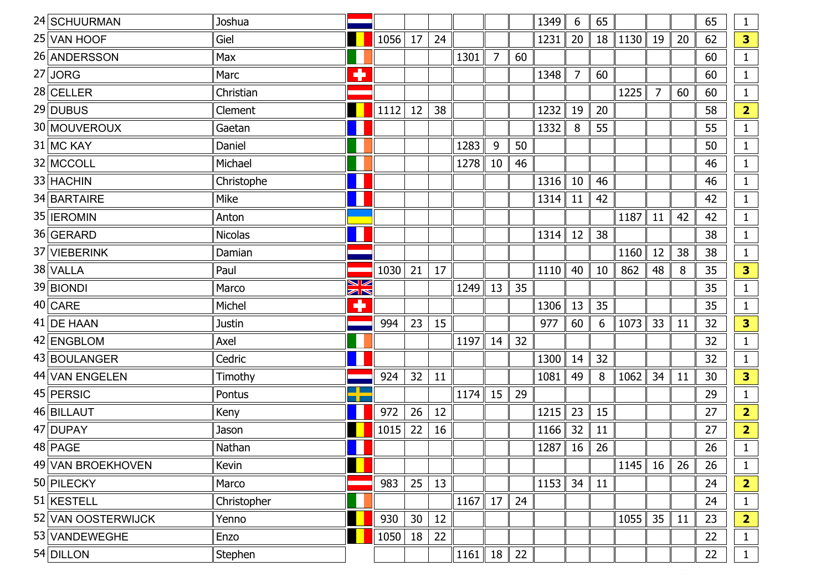| 24 SCHUURMAN       | Joshua         |                   |      |                 |           |      |                |    | 1349 | 6              | 65 |      |                |    | 65 | $\mathbf{1}$   |
|--------------------|----------------|-------------------|------|-----------------|-----------|------|----------------|----|------|----------------|----|------|----------------|----|----|----------------|
| 25 VAN HOOF        | Giel           |                   | 1056 | 17              | 24        |      |                |    | 1231 | 20             | 18 | 1130 | 19             | 20 | 62 | 3              |
| 26 ANDERSSON       | Max            |                   |      |                 |           | 1301 | $\overline{7}$ | 60 |      |                |    |      |                |    | 60 | $\mathbf{1}$   |
| $27$ JORG          | Marc           | ۰                 |      |                 |           |      |                |    | 1348 | $\overline{7}$ | 60 |      |                |    | 60 | $\mathbf{1}$   |
| 28 CELLER          | Christian      |                   |      |                 |           |      |                |    |      |                |    | 1225 | $\overline{7}$ | 60 | 60 | $\mathbf{1}$   |
| 29 DUBUS           | Clement        |                   | 1112 | 12              | 38        |      |                |    | 1232 | 19             | 20 |      |                |    | 58 | $\overline{2}$ |
| 30 MOUVEROUX       | Gaetan         |                   |      |                 |           |      |                |    | 1332 | 8              | 55 |      |                |    | 55 | $\mathbf{1}$   |
| 31 MC KAY          | Daniel         |                   |      |                 |           | 1283 | 9              | 50 |      |                |    |      |                |    | 50 | $\mathbf{1}$   |
| 32 MCCOLL          | Michael        |                   |      |                 |           | 1278 | 10             | 46 |      |                |    |      |                |    | 46 | $\mathbf{1}$   |
| 33 HACHIN          | Christophe     |                   |      |                 |           |      |                |    | 1316 | 10             | 46 |      |                |    | 46 | $\mathbf{1}$   |
| 34 BARTAIRE        | Mike           |                   |      |                 |           |      |                |    | 1314 | 11             | 42 |      |                |    | 42 | $\mathbf{1}$   |
| 35 <b>IEROMIN</b>  | Anton          |                   |      |                 |           |      |                |    |      |                |    | 1187 | 11             | 42 | 42 | $\mathbf{1}$   |
| 36 GERARD          | <b>Nicolas</b> |                   |      |                 |           |      |                |    | 1314 | 12             | 38 |      |                |    | 38 | $\mathbf{1}$   |
| 37 VIEBERINK       | Damian         |                   |      |                 |           |      |                |    |      |                |    | 1160 | 12             | 38 | 38 | $\mathbf{1}$   |
| 38 VALLA           | Paul           |                   | 1030 | 21              | 17        |      |                |    | 1110 | 40             | 10 | 862  | 48             | 8  | 35 | 3              |
| 39 BIONDI          | Marco          | V<br>$\mathbb{Z}$ |      |                 |           | 1249 | 13             | 35 |      |                |    |      |                |    | 35 | $\mathbf{1}$   |
| $40$ CARE          | Michel         | ٠                 |      |                 |           |      |                |    | 1306 | 13             | 35 |      |                |    | 35 | $\mathbf{1}$   |
| 41 DE HAAN         | <b>Justin</b>  |                   | 994  | 23              | 15        |      |                |    | 977  | 60             | 6  | 1073 | 33             | 11 | 32 | 3              |
| 42 ENGBLOM         | Axel           |                   |      |                 |           | 1197 | 14             | 32 |      |                |    |      |                |    | 32 | $\mathbf{1}$   |
| 43 BOULANGER       | Cedric         |                   |      |                 |           |      |                |    | 1300 | 14             | 32 |      |                |    | 32 | $\mathbf{1}$   |
| 44 VAN ENGELEN     | Timothy        |                   | 924  | 32              | <b>11</b> |      |                |    | 1081 | 49             | 8  | 1062 | 34             | 11 | 30 | 3              |
| 45 PERSIC          | Pontus         |                   |      |                 |           | 1174 | 15             | 29 |      |                |    |      |                |    | 29 | $\mathbf{1}$   |
| 46 BILLAUT         | Keny           |                   | 972  | 26              | 12        |      |                |    | 1215 | 23             | 15 |      |                |    | 27 | $\overline{2}$ |
| 47 DUPAY           | Jason          |                   | 1015 | 22              | 16        |      |                |    | 1166 | 32             | 11 |      |                |    | 27 | $\overline{2}$ |
| 48 PAGE            | Nathan         |                   |      |                 |           |      |                |    | 1287 | 16             | 26 |      |                |    | 26 | $\mathbf{1}$   |
| 49 VAN BROEKHOVEN  | Kevin          |                   |      |                 |           |      |                |    |      |                |    | 1145 | 16             | 26 | 26 | $\mathbf{1}$   |
| 50 PILECKY         | Marco          |                   | 983  | 25              | 13        |      |                |    | 1153 | 34             | 11 |      |                |    | 24 | $\overline{2}$ |
| $51$ KESTELL       | Christopher    |                   |      |                 |           | 1167 | 17             | 24 |      |                |    |      |                |    | 24 | $\mathbf{1}$   |
| 52 VAN OOSTERWIJCK | Yenno          |                   | 930  | 30 <sup>°</sup> | 12        |      |                |    |      |                |    | 1055 | 35             | 11 | 23 | $\overline{2}$ |
| 53 VANDEWEGHE      | Enzo           |                   | 1050 | 18              | 22        |      |                |    |      |                |    |      |                |    | 22 | $\mathbf{1}$   |
| 54 DILLON          | Stephen        |                   |      |                 |           | 1161 | 18             | 22 |      |                |    |      |                |    | 22 | $\mathbf{1}$   |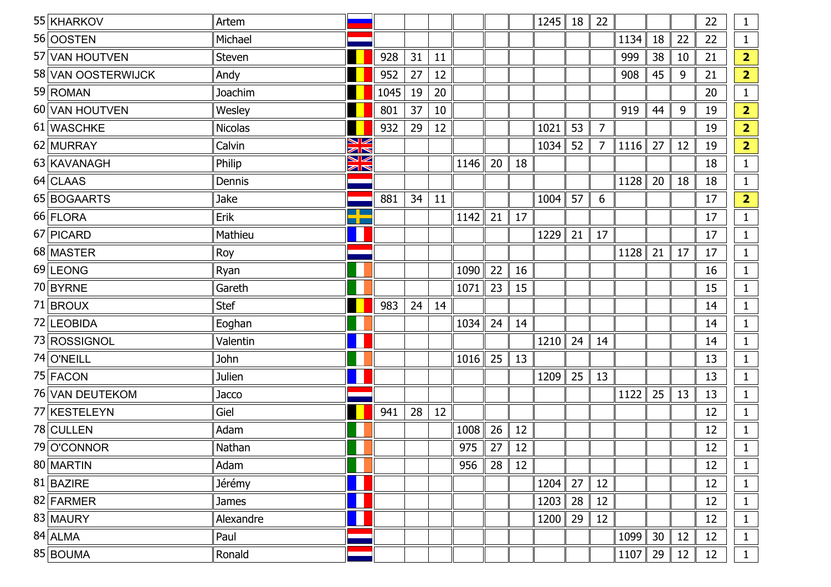| 55 KHARKOV         | Artem          |             |      |    |    |      |    |    | 1245 | 18 | 22             |      |    |    | 22 | 1              |
|--------------------|----------------|-------------|------|----|----|------|----|----|------|----|----------------|------|----|----|----|----------------|
| 56 OOSTEN          | Michael        |             |      |    |    |      |    |    |      |    |                | 1134 | 18 | 22 | 22 | $\mathbf{1}$   |
| 57 VAN HOUTVEN     | Steven         |             | 928  | 31 | 11 |      |    |    |      |    |                | 999  | 38 | 10 | 21 | $\overline{2}$ |
| 58 VAN OOSTERWIJCK | Andy           |             | 952  | 27 | 12 |      |    |    |      |    |                | 908  | 45 | 9  | 21 | $\overline{2}$ |
| 59 ROMAN           | Joachim        |             | 1045 | 19 | 20 |      |    |    |      |    |                |      |    |    | 20 | $\mathbf{1}$   |
| 60 VAN HOUTVEN     | Wesley         |             | 801  | 37 | 10 |      |    |    |      |    |                | 919  | 44 | 9  | 19 | $\overline{2}$ |
| 61 WASCHKE         | <b>Nicolas</b> |             | 932  | 29 | 12 |      |    |    | 1021 | 53 | $\overline{7}$ |      |    |    | 19 | $\overline{2}$ |
| 62 MURRAY          | Calvin         | N<br>A<br>K |      |    |    |      |    |    | 1034 | 52 | 7              | 1116 | 27 | 12 | 19 | $\overline{2}$ |
| 63 KAVANAGH        | Philip         | N<br>A<br>R |      |    |    | 1146 | 20 | 18 |      |    |                |      |    |    | 18 | $\mathbf{1}$   |
| 64 CLAAS           | Dennis         |             |      |    |    |      |    |    |      |    |                | 1128 | 20 | 18 | 18 | $\mathbf{1}$   |
| 65 BOGAARTS        | Jake           |             | 881  | 34 | 11 |      |    |    | 1004 | 57 | 6              |      |    |    | 17 | $\overline{2}$ |
| 66 FLORA           | Erik           | <u>a La</u> |      |    |    | 1142 | 21 | 17 |      |    |                |      |    |    | 17 | $\mathbf{1}$   |
| 67 PICARD          | Mathieu        |             |      |    |    |      |    |    | 1229 | 21 | 17             |      |    |    | 17 | $\mathbf{1}$   |
| 68 MASTER          | Roy            |             |      |    |    |      |    |    |      |    |                | 1128 | 21 | 17 | 17 | $\mathbf{1}$   |
| 69 LEONG           | Ryan           |             |      |    |    | 1090 | 22 | 16 |      |    |                |      |    |    | 16 | $\mathbf{1}$   |
| 70 BYRNE           | Gareth         |             |      |    |    | 1071 | 23 | 15 |      |    |                |      |    |    | 15 | $\mathbf{1}$   |
| 71 BROUX           | <b>Stef</b>    |             | 983  | 24 | 14 |      |    |    |      |    |                |      |    |    | 14 | $\mathbf{1}$   |
| 72 LEOBIDA         | Eoghan         |             |      |    |    | 1034 | 24 | 14 |      |    |                |      |    |    | 14 | $\mathbf{1}$   |
| 73 ROSSIGNOL       | Valentin       |             |      |    |    |      |    |    | 1210 | 24 | 14             |      |    |    | 14 | $\mathbf{1}$   |
| 74 O'NEILL         | John           |             |      |    |    | 1016 | 25 | 13 |      |    |                |      |    |    | 13 | $\mathbf{1}$   |
| 75 FACON           | Julien         |             |      |    |    |      |    |    | 1209 | 25 | 13             |      |    |    | 13 | $\mathbf{1}$   |
| 76 VAN DEUTEKOM    | Jacco          |             |      |    |    |      |    |    |      |    |                | 1122 | 25 | 13 | 13 | $\mathbf{1}$   |
| 77 KESTELEYN       | Giel           |             | 941  | 28 | 12 |      |    |    |      |    |                |      |    |    | 12 | $\mathbf{1}$   |
| 78 CULLEN          | Adam           |             |      |    |    | 1008 | 26 | 12 |      |    |                |      |    |    | 12 | $\mathbf{1}$   |
| 79 O'CONNOR        | Nathan         |             |      |    |    | 975  | 27 | 12 |      |    |                |      |    |    | 12 | $\mathbf{1}$   |
| 80 MARTIN          | Adam           |             |      |    |    | 956  | 28 | 12 |      |    |                |      |    |    | 12 | $\mathbf 1$    |
| $81$ BAZIRE        | Jérémy         |             |      |    |    |      |    |    | 1204 | 27 | 12             |      |    |    | 12 | $\mathbf{1}$   |
| 82 FARMER          | <b>James</b>   |             |      |    |    |      |    |    | 1203 | 28 | 12             |      |    |    | 12 | $\mathbf{1}$   |
| 83 MAURY           | Alexandre      |             |      |    |    |      |    |    | 1200 | 29 | 12             |      |    |    | 12 | $\mathbf 1$    |
| 84 ALMA            | Paul           |             |      |    |    |      |    |    |      |    |                | 1099 | 30 | 12 | 12 | $\mathbf{1}$   |
| 85 BOUMA           | Ronald         |             |      |    |    |      |    |    |      |    |                | 1107 | 29 | 12 | 12 | $\mathbf 1$    |
|                    |                |             |      |    |    |      |    |    |      |    |                |      |    |    |    |                |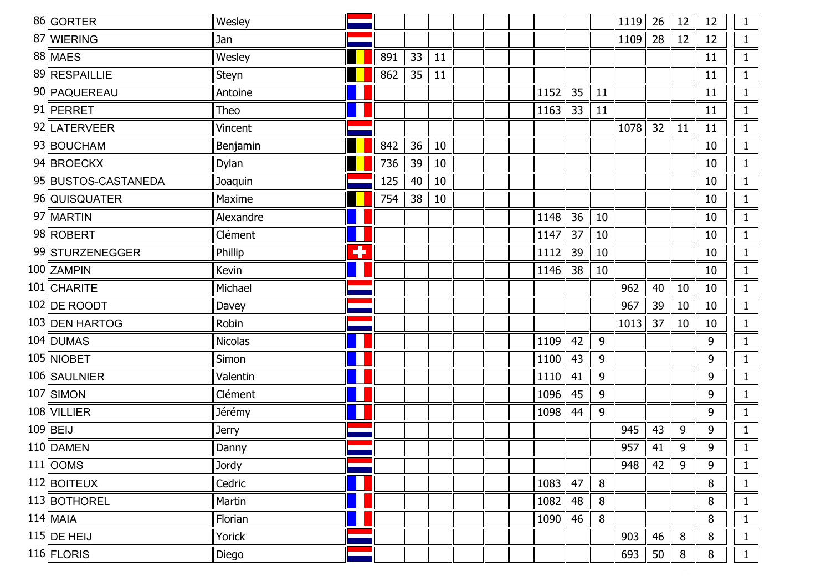| 86 GORTER           | Wesley         |   |     |    |    |  |      |    |    | 1119 | 26 | 12 | 12 | $\mathbf{1}$ |
|---------------------|----------------|---|-----|----|----|--|------|----|----|------|----|----|----|--------------|
| 87 WIERING          | Jan            |   |     |    |    |  |      |    |    | 1109 | 28 | 12 | 12 | $\mathbf{1}$ |
| 88 MAES             | Wesley         |   | 891 | 33 | 11 |  |      |    |    |      |    |    | 11 | $\mathbf{1}$ |
| 89 RESPAILLIE       | Steyn          |   | 862 | 35 | 11 |  |      |    |    |      |    |    | 11 | $\mathbf{1}$ |
| 90 PAQUEREAU        | Antoine        |   |     |    |    |  | 1152 | 35 | 11 |      |    |    | 11 | $\mathbf{1}$ |
| 91 PERRET           | Theo           |   |     |    |    |  | 1163 | 33 | 11 |      |    |    | 11 | $\mathbf{1}$ |
| 92 LATERVEER        | Vincent        |   |     |    |    |  |      |    |    | 1078 | 32 | 11 | 11 | $\mathbf{1}$ |
| 93 BOUCHAM          | Benjamin       |   | 842 | 36 | 10 |  |      |    |    |      |    |    | 10 | $\mathbf{1}$ |
| 94 BROECKX          | Dylan          |   | 736 | 39 | 10 |  |      |    |    |      |    |    | 10 | $\mathbf{1}$ |
| 95 BUSTOS-CASTANEDA | Joaquin        |   | 125 | 40 | 10 |  |      |    |    |      |    |    | 10 | $\mathbf{1}$ |
| 96 QUISQUATER       | Maxime         |   | 754 | 38 | 10 |  |      |    |    |      |    |    | 10 | $\mathbf{1}$ |
| 97 MARTIN           | Alexandre      |   |     |    |    |  | 1148 | 36 | 10 |      |    |    | 10 | $\mathbf{1}$ |
| 98 ROBERT           | Clément        | Н |     |    |    |  | 1147 | 37 | 10 |      |    |    | 10 | $\mathbf{1}$ |
| 99 STURZENEGGER     | Phillip        | ÷ |     |    |    |  | 1112 | 39 | 10 |      |    |    | 10 | $\mathbf{1}$ |
| 100 ZAMPIN          | Kevin          |   |     |    |    |  | 1146 | 38 | 10 |      |    |    | 10 | $\mathbf{1}$ |
| 101 CHARITE         | Michael        |   |     |    |    |  |      |    |    | 962  | 40 | 10 | 10 | $\mathbf{1}$ |
| 102 DE ROODT        | Davey          |   |     |    |    |  |      |    |    | 967  | 39 | 10 | 10 | $\mathbf{1}$ |
| 103 DEN HARTOG      | Robin          |   |     |    |    |  |      |    |    | 1013 | 37 | 10 | 10 | $\mathbf{1}$ |
| 104 DUMAS           | <b>Nicolas</b> |   |     |    |    |  | 1109 | 42 | 9  |      |    |    | 9  | $\mathbf{1}$ |
| 105 NIOBET          | Simon          |   |     |    |    |  | 1100 | 43 | 9  |      |    |    | 9  | $\mathbf 1$  |
| 106 SAULNIER        | Valentin       |   |     |    |    |  | 1110 | 41 | 9  |      |    |    | 9  | $\mathbf{1}$ |
| 107 SIMON           | Clément        |   |     |    |    |  | 1096 | 45 | 9  |      |    |    | 9  | $\mathbf 1$  |
| 108 VILLIER         | Jérémy         |   |     |    |    |  | 1098 | 44 | 9  |      |    |    | 9  | $\mathbf{1}$ |
| $109$ BEIJ          | <b>Jerry</b>   |   |     |    |    |  |      |    |    | 945  | 43 | 9  | 9  | $\mathbf{1}$ |
| 110 DAMEN           | Danny          |   |     |    |    |  |      |    |    | 957  | 41 | 9  | 9  | $\mathbf{1}$ |
| 111  <sub>OMS</sub> | Jordy          |   |     |    |    |  |      |    |    | 948  | 42 | 9  | 9  | $\mathbf{1}$ |
| 112 BOITEUX         | Cedric         |   |     |    |    |  | 1083 | 47 | 8  |      |    |    | 8  | $\mathbf{1}$ |
| 113 BOTHOREL        | Martin         | П |     |    |    |  | 1082 | 48 | 8  |      |    |    | 8  | $\mathbf{1}$ |
| $114$ MAIA          | Florian        |   |     |    |    |  | 1090 | 46 | 8  |      |    |    | 8  | $\mathbf{1}$ |
| $115$ DE HEIJ       | Yorick         |   |     |    |    |  |      |    |    | 903  | 46 | 8  | 8  | $\mathbf{1}$ |
| $116$ FLORIS        | Diego          |   |     |    |    |  |      |    |    | 693  | 50 | 8  | 8  | $\mathbf{1}$ |
|                     |                |   |     |    |    |  |      |    |    |      |    |    |    |              |